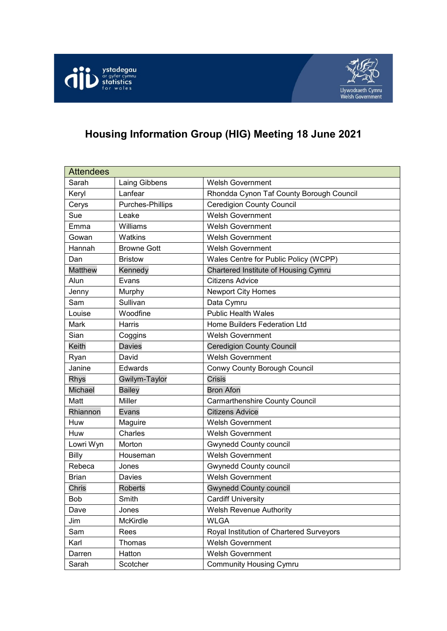



# **Housing Information Group (HIG) Meeting 18 June 2021**

| <b>Attendees</b> |                    |                                          |
|------------------|--------------------|------------------------------------------|
| Sarah            | Laing Gibbens      | <b>Welsh Government</b>                  |
| Keryl            | Lanfear            | Rhondda Cynon Taf County Borough Council |
| Cerys            | Purches-Phillips   | <b>Ceredigion County Council</b>         |
| Sue              | Leake              | <b>Welsh Government</b>                  |
| Emma             | Williams           | <b>Welsh Government</b>                  |
| Gowan            | Watkins            | <b>Welsh Government</b>                  |
| Hannah           | <b>Browne Gott</b> | <b>Welsh Government</b>                  |
| Dan              | <b>Bristow</b>     | Wales Centre for Public Policy (WCPP)    |
| <b>Matthew</b>   | Kennedy            | Chartered Institute of Housing Cymru     |
| Alun             | Evans              | <b>Citizens Advice</b>                   |
| Jenny            | Murphy             | <b>Newport City Homes</b>                |
| Sam              | Sullivan           | Data Cymru                               |
| Louise           | Woodfine           | <b>Public Health Wales</b>               |
| Mark             | Harris             | Home Builders Federation Ltd             |
| Sian             | Coggins            | <b>Welsh Government</b>                  |
| Keith            | Davies             | <b>Ceredigion County Council</b>         |
| Ryan             | David              | <b>Welsh Government</b>                  |
| Janine           | Edwards            | Conwy County Borough Council             |
| Rhys             | Gwilym-Taylor      | <b>Crisis</b>                            |
| Michael          | <b>Bailey</b>      | <b>Bron Afon</b>                         |
| Matt             | Miller             | <b>Carmarthenshire County Council</b>    |
| Rhiannon         | Evans              | <b>Citizens Advice</b>                   |
| Huw              | Maguire            | <b>Welsh Government</b>                  |
| Huw              | Charles            | <b>Welsh Government</b>                  |
| Lowri Wyn        | Morton             | <b>Gwynedd County council</b>            |
| <b>Billy</b>     | Houseman           | <b>Welsh Government</b>                  |
| Rebeca           | Jones              | <b>Gwynedd County council</b>            |
| <b>Brian</b>     | Davies             | <b>Welsh Government</b>                  |
| Chris            | <b>Roberts</b>     | <b>Gwynedd County council</b>            |
| Bob              | Smith              | <b>Cardiff University</b>                |
| Dave             | Jones              | <b>Welsh Revenue Authority</b>           |
| Jim              | McKirdle           | <b>WLGA</b>                              |
| Sam              | Rees               | Royal Institution of Chartered Surveyors |
| Karl             | Thomas             | <b>Welsh Government</b>                  |
| Darren           | Hatton             | Welsh Government                         |
| Sarah            | Scotcher           | <b>Community Housing Cymru</b>           |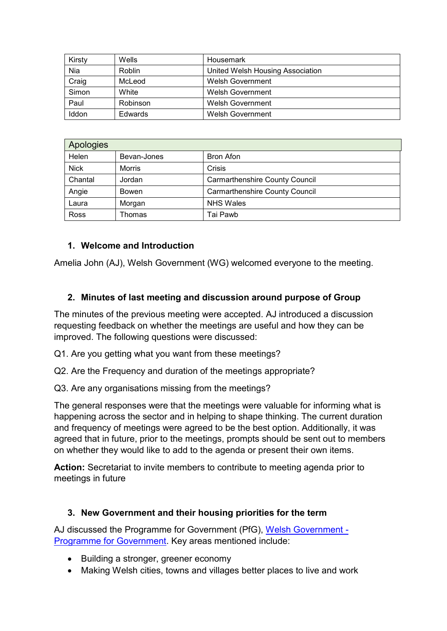| Kirsty | Wells         | Housemark                        |
|--------|---------------|----------------------------------|
| Nia    | <b>Roblin</b> | United Welsh Housing Association |
| Craig  | McLeod        | Welsh Government                 |
| Simon  | White         | Welsh Government                 |
| Paul   | Robinson      | Welsh Government                 |
| Iddon  | Edwards       | Welsh Government                 |

| Apologies   |               |                                       |  |
|-------------|---------------|---------------------------------------|--|
| Helen       | Bevan-Jones   | <b>Bron Afon</b>                      |  |
| <b>Nick</b> | <b>Morris</b> | Crisis                                |  |
| Chantal     | Jordan        | <b>Carmarthenshire County Council</b> |  |
| Angie       | Bowen         | <b>Carmarthenshire County Council</b> |  |
| Laura       | Morgan        | <b>NHS Wales</b>                      |  |
| Ross        | Thomas        | Tai Pawb                              |  |

#### **1. Welcome and Introduction**

Amelia John (AJ), Welsh Government (WG) welcomed everyone to the meeting.

#### **2. Minutes of last meeting and discussion around purpose of Group**

The minutes of the previous meeting were accepted. AJ introduced a discussion requesting feedback on whether the meetings are useful and how they can be improved. The following questions were discussed:

Q1. Are you getting what you want from these meetings?

Q2. Are the Frequency and duration of the meetings appropriate?

Q3. Are any organisations missing from the meetings?

The general responses were that the meetings were valuable for informing what is happening across the sector and in helping to shape thinking. The current duration and frequency of meetings were agreed to be the best option. Additionally, it was agreed that in future, prior to the meetings, prompts should be sent out to members on whether they would like to add to the agenda or present their own items.

**Action:** Secretariat to invite members to contribute to meeting agenda prior to meetings in future

#### **3. New Government and their housing priorities for the term**

AJ discussed the Programme for Government (PfG), [Welsh Government -](https://gov.wales/sites/default/files/publications/2021-06/programme-for-government-2021-to-2026.pdf) [Programme for Government.](https://gov.wales/sites/default/files/publications/2021-06/programme-for-government-2021-to-2026.pdf) Key areas mentioned include:

- Building a stronger, greener economy
- Making Welsh cities, towns and villages better places to live and work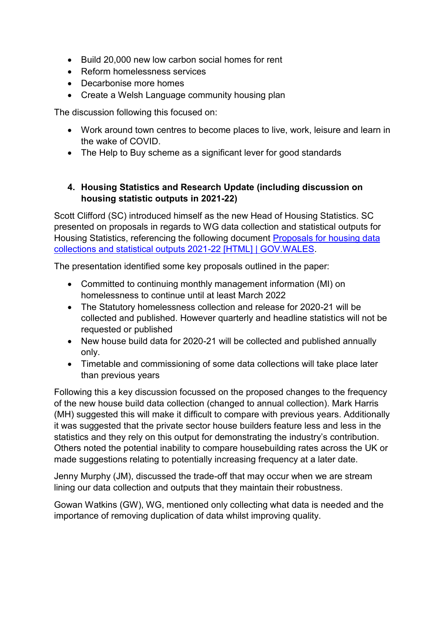- Build 20,000 new low carbon social homes for rent
- Reform homelessness services
- Decarbonise more homes
- Create a Welsh Language community housing plan

The discussion following this focused on:

- Work around town centres to become places to live, work, leisure and learn in the wake of COVID.
- The Help to Buy scheme as a significant lever for good standards

### **4. Housing Statistics and Research Update (including discussion on housing statistic outputs in 2021-22)**

Scott Clifford (SC) introduced himself as the new Head of Housing Statistics. SC presented on proposals in regards to WG data collection and statistical outputs for Housing Statistics, referencing the following document [Proposals for housing data](https://gov.wales/proposals-housing-data-collections-and-statistical-outputs-2021-22-html)  [collections and statistical outputs 2021-22 \[HTML\] | GOV.WALES.](https://gov.wales/proposals-housing-data-collections-and-statistical-outputs-2021-22-html)

The presentation identified some key proposals outlined in the paper:

- Committed to continuing monthly management information (MI) on homelessness to continue until at least March 2022
- The Statutory homelessness collection and release for 2020-21 will be collected and published. However quarterly and headline statistics will not be requested or published
- New house build data for 2020-21 will be collected and published annually only.
- Timetable and commissioning of some data collections will take place later than previous years

Following this a key discussion focussed on the proposed changes to the frequency of the new house build data collection (changed to annual collection). Mark Harris (MH) suggested this will make it difficult to compare with previous years. Additionally it was suggested that the private sector house builders feature less and less in the statistics and they rely on this output for demonstrating the industry's contribution. Others noted the potential inability to compare housebuilding rates across the UK or made suggestions relating to potentially increasing frequency at a later date.

Jenny Murphy (JM), discussed the trade-off that may occur when we are stream lining our data collection and outputs that they maintain their robustness.

Gowan Watkins (GW), WG, mentioned only collecting what data is needed and the importance of removing duplication of data whilst improving quality.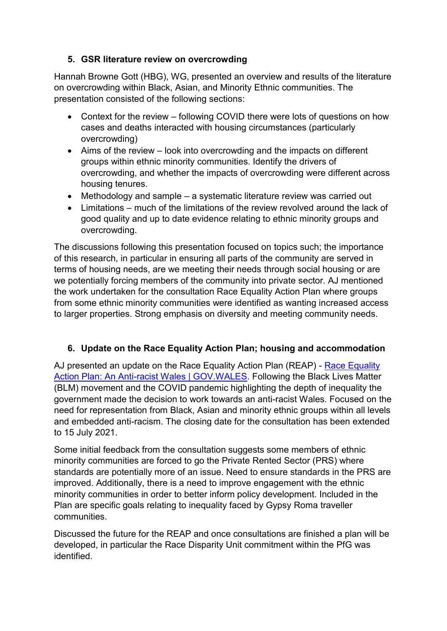### **5. GSR literature review on overcrowding**

Hannah Browne Gott (HBG), WG, presented an overview and results of the literature on overcrowding within Black, Asian, and Minority Ethnic communities. The presentation consisted of the following sections:

- Context for the review following COVID there were lots of questions on how cases and deaths interacted with housing circumstances (particularly overcrowding)
- Aims of the review look into overcrowding and the impacts on different groups within ethnic minority communities. Identify the drivers of overcrowding, and whether the impacts of overcrowding were different across housing tenures.
- Methodology and sample a systematic literature review was carried out
- Limitations much of the limitations of the review revolved around the lack of good quality and up to date evidence relating to ethnic minority groups and overcrowding.

The discussions following this presentation focused on topics such; the importance of this research, in particular in ensuring all parts of the community are served in terms of housing needs, are we meeting their needs through social housing or are we potentially forcing members of the community into private sector. AJ mentioned the work undertaken for the consultation Race Equality Action Plan where groups from some ethnic minority communities were identified as wanting increased access to larger properties. Strong emphasis on diversity and meeting community needs.

### **6. Update on the Race Equality Action Plan; housing and accommodation**

AJ presented an update on the [Race Equality](https://gov.wales/race-equality-action-plan-anti-racist-wales) Action Plan (REAP) - Race Equality [Action Plan: An Anti-racist Wales | GOV.WALES.](https://gov.wales/race-equality-action-plan-anti-racist-wales) Following the Black Lives Matter (BLM) movement and the COVID pandemic highlighting the depth of inequality the government made the decision to work towards an anti-racist Wales. Focused on the need for representation from Black, Asian and minority ethnic groups within all levels and embedded anti-racism. The closing date for the consultation has been extended to 15 July 2021.

Some initial feedback from the consultation suggests some members of ethnic minority communities are forced to go the Private Rented Sector (PRS) where standards are potentially more of an issue. Need to ensure standards in the PRS are improved. Additionally, there is a need to improve engagement with the ethnic minority communities in order to better inform policy development. Included in the Plan are specific goals relating to inequality faced by Gypsy Roma traveller communities.

Discussed the future for the REAP and once consultations are finished a plan will be developed, in particular the Race Disparity Unit commitment within the PfG was identified.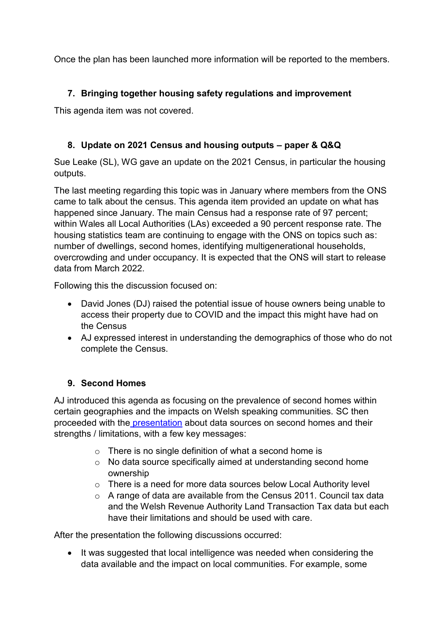Once the plan has been launched more information will be reported to the members.

## **7. Bringing together housing safety regulations and improvement**

This agenda item was not covered.

### **8. Update on 2021 Census and housing outputs – paper & Q&Q**

Sue Leake (SL), WG gave an update on the 2021 Census, in particular the housing outputs.

The last meeting regarding this topic was in January where members from the ONS came to talk about the census. This agenda item provided an update on what has happened since January. The main Census had a response rate of 97 percent; within Wales all Local Authorities (LAs) exceeded a 90 percent response rate. The housing statistics team are continuing to engage with the ONS on topics such as: number of dwellings, second homes, identifying multigenerational households, overcrowding and under occupancy. It is expected that the ONS will start to release data from March 2022.

Following this the discussion focused on:

- David Jones (DJ) raised the potential issue of house owners being unable to access their property due to COVID and the impact this might have had on the Census
- AJ expressed interest in understanding the demographics of those who do not complete the Census.

### **9. Second Homes**

AJ introduced this agenda as focusing on the prevalence of second homes within certain geographies and the impacts on Welsh speaking communities. SC then proceeded with the [presentation](https://gov.wales/sites/default/files/publications/2021-06/housing-information-group-18-june-2021-second-homes.pptx) about data sources on second homes and their strengths / limitations, with a few key messages:

- o There is no single definition of what a second home is
- o No data source specifically aimed at understanding second home ownership
- o There is a need for more data sources below Local Authority level
- $\circ$  A range of data are available from the Census 2011. Council tax data and the Welsh Revenue Authority Land Transaction Tax data but each have their limitations and should be used with care.

After the presentation the following discussions occurred:

 It was suggested that local intelligence was needed when considering the data available and the impact on local communities. For example, some